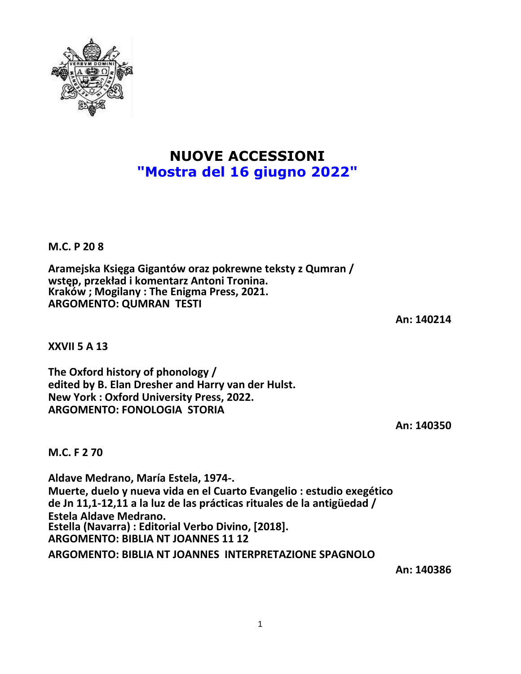**NUOVE ACCESSIONI "Mostra del 16 giugno 2022"**

**M.C. P 20 8**

**Aramejska Księga Gigantów oraz pokrewne teksty z Qumran / wstęp, przekład i komentarz Antoni Tronina. Kraków ; Mogilany : The Enigma Press, 2021. ARGOMENTO: QUMRAN TESTI**

**XXVII 5 A 13**

**The Oxford history of phonology / edited by B. Elan Dresher and Harry van der Hulst. New York : Oxford University Press, 2022. ARGOMENTO: FONOLOGIA STORIA**

**An: 140350**

**M.C. F 2 70**

**Aldave Medrano, María Estela, 1974-. Muerte, duelo y nueva vida en el Cuarto Evangelio : estudio exegético de Jn 11,1-12,11 a la luz de las prácticas rituales de la antigüedad / Estela Aldave Medrano. Estella (Navarra) : Editorial Verbo Divino, [2018]. ARGOMENTO: BIBLIA NT JOANNES 11 12**

**ARGOMENTO: BIBLIA NT JOANNES INTERPRETAZIONE SPAGNOLO**

**An: 140386**



**An: 140214**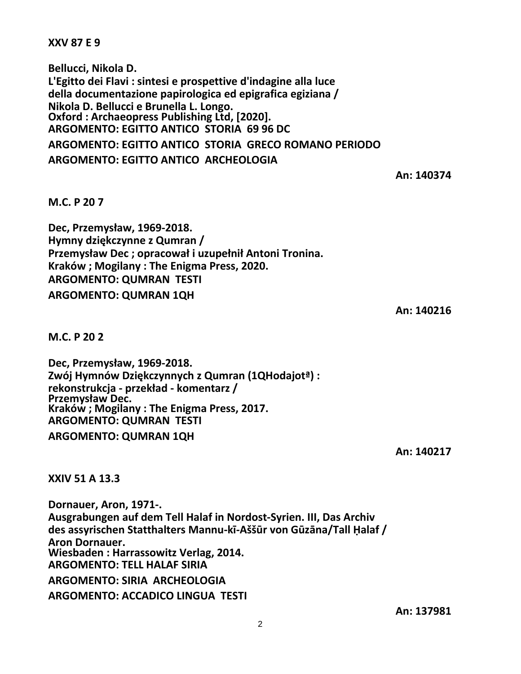**XXV 87 E 9**

**Bellucci, Nikola D. L'Egitto dei Flavi : sintesi e prospettive d'indagine alla luce della documentazione papirologica ed epigrafica egiziana / Nikola D. Bellucci e Brunella L. Longo. Oxford : Archaeopress Publishing Ltd, [2020]. ARGOMENTO: EGITTO ANTICO STORIA 69 96 DC**

**ARGOMENTO: EGITTO ANTICO STORIA GRECO ROMANO PERIODO ARGOMENTO: EGITTO ANTICO ARCHEOLOGIA**

**An: 140374**

**M.C. P 20 7**

**Dec, Przemysław, 1969-2018. Hymny dziękczynne z Qumran / Przemysław Dec ; opracował i uzupełnił Antoni Tronina. Kraków ; Mogilany : The Enigma Press, 2020. ARGOMENTO: QUMRAN TESTI ARGOMENTO: QUMRAN 1QH**

**An: 140216**

**M.C. P 20 2**

**Dec, Przemysław, 1969-2018. Zwój Hymnów Dziękczynnych z Qumran (1QHodajotª) : rekonstrukcja - przekład - komentarz / Przemysław Dec. Kraków ; Mogilany : The Enigma Press, 2017. ARGOMENTO: QUMRAN TESTI**

**ARGOMENTO: QUMRAN 1QH**

**An: 140217**

**XXIV 51 A 13.3**

**Dornauer, Aron, 1971-. Ausgrabungen auf dem Tell Halaf in Nordost-Syrien. III, Das Archiv des assyrischen Statthalters Mannu-kī-Aššūr von Gūzāna/Tall Ḥalaf / Aron Dornauer. Wiesbaden : Harrassowitz Verlag, 2014. ARGOMENTO: TELL HALAF SIRIA ARGOMENTO: SIRIA ARCHEOLOGIA ARGOMENTO: ACCADICO LINGUA TESTI**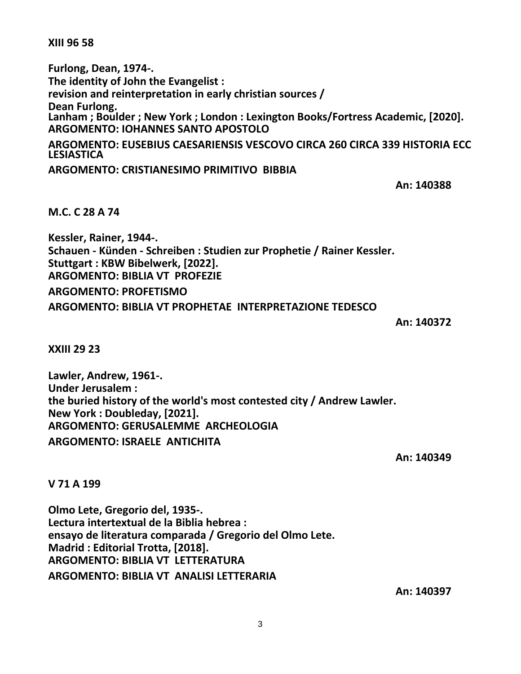**XIII 96 58**

**Furlong, Dean, 1974-. The identity of John the Evangelist : revision and reinterpretation in early christian sources / Dean Furlong. Lanham ; Boulder ; New York ; London : Lexington Books/Fortress Academic, [2020]. ARGOMENTO: IOHANNES SANTO APOSTOLO ARGOMENTO: EUSEBIUS CAESARIENSIS VESCOVO CIRCA 260 CIRCA 339 HISTORIA ECC LESIASTICA**

**ARGOMENTO: CRISTIANESIMO PRIMITIVO BIBBIA**

**An: 140388**

**M.C. C 28 A 74**

**Kessler, Rainer, 1944-. Schauen - Künden - Schreiben : Studien zur Prophetie / Rainer Kessler. Stuttgart : KBW Bibelwerk, [2022]. ARGOMENTO: BIBLIA VT PROFEZIE ARGOMENTO: PROFETISMO ARGOMENTO: BIBLIA VT PROPHETAE INTERPRETAZIONE TEDESCO**

**An: 140372**

**XXIII 29 23**

**Lawler, Andrew, 1961-. Under Jerusalem : the buried history of the world's most contested city / Andrew Lawler. New York : Doubleday, [2021]. ARGOMENTO: GERUSALEMME ARCHEOLOGIA ARGOMENTO: ISRAELE ANTICHITA**

**An: 140349**

**V 71 A 199**

**Olmo Lete, Gregorio del, 1935-. Lectura intertextual de la Biblia hebrea : ensayo de literatura comparada / Gregorio del Olmo Lete. Madrid : Editorial Trotta, [2018]. ARGOMENTO: BIBLIA VT LETTERATURA ARGOMENTO: BIBLIA VT ANALISI LETTERARIA**

**An: 140397**